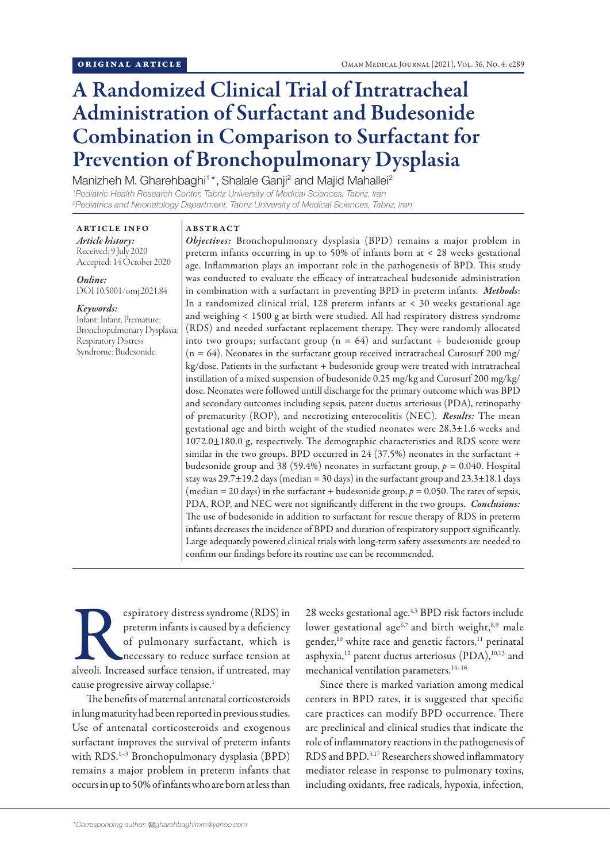# A Randomized Clinical Trial of Intratracheal Administration of Surfactant and Budesonide Combination in Comparison to Surfactant for Prevention of Bronchopulmonary Dysplasia

Manizheh M. Gharehbaghi<sup>1\*</sup>, Shalale Ganji<sup>2</sup> and Majid Mahallei<sup>2</sup> *1 Pediatric Health Research Center, Tabriz University of Medical Sciences, Tabriz, Iran*

*2 Pediatrics and Neonatology Department, Tabriz University of Medical Sciences, Tabriz, Iran*

ARTICLE INFO *Article history:* Received: 9 July 2020 Accepted: 14 October 2020

*Online:* DOI 10.5001/omj.2021.84

#### *Keywords:*

Infant; Infant, Premature; Bronchopulmonary Dysplasia; Respiratory Distress Syndrome; Budesonide.

# ABSTRACT

*Objectives:* Bronchopulmonary dysplasia (BPD) remains a major problem in preterm infants occurring in up to 50% of infants born at < 28 weeks gestational age. Inflammation plays an important role in the pathogenesis of BPD. This study was conducted to evaluate the efficacy of intratracheal budesonide administration in combination with a surfactant in preventing BPD in preterm infants. *Methods*: In a randomized clinical trial, 128 preterm infants at < 30 weeks gestational age and weighing < 1500 g at birth were studied. All had respiratory distress syndrome (RDS) and needed surfactant replacement therapy. They were randomly allocated into two groups; surfactant group ( $n = 64$ ) and surfactant + budesonide group  $(n = 64)$ . Neonates in the surfactant group received intratracheal Curosurf 200 mg/ kg/dose. Patients in the surfactant + budesonide group were treated with intratracheal instillation of a mixed suspension of budesonide 0.25 mg/kg and Curosurf 200 mg/kg/ dose. Neonates were followed untill discharge for the primary outcome which was BPD and secondary outcomes including sepsis, patent ductus arteriosus (PDA), retinopathy of prematurity (ROP), and necrotizing enterocolitis (NEC). *Results:* The mean gestational age and birth weight of the studied neonates were 28.3±1.6 weeks and 1072.0±180.0 g, respectively. The demographic characteristics and RDS score were similar in the two groups. BPD occurred in 24 (37.5%) neonates in the surfactant + budesonide group and 38 (59.4%) neonates in surfactant group, *p =* 0.040. Hospital stay was  $29.7\pm19.2$  days (median = 30 days) in the surfactant group and  $23.3\pm18.1$  days (median = 20 days) in the surfactant + budesonide group,  $p = 0.050$ . The rates of sepsis, PDA, ROP, and NEC were not significantly different in the two groups. *Conclusions:* The use of budesonide in addition to surfactant for rescue therapy of RDS in preterm infants decreases the incidence of BPD and duration of respiratory support significantly. Large adequately powered clinical trials with long-term safety assessments are needed to confirm our findings before its routine use can be recommended.

espiratory distress syndrome (RDS) in<br>
preterm infants is caused by a deficiency<br>
of pulmonary surfactant, which is<br>
necessary to reduce surface tension at<br>
alveoli. Increased surface tension, if untreated, may preterm infants is caused by a deficiency of pulmonary surfactant, which is necessary to reduce surface tension at cause progressive airway collapse.1

The benefits of maternal antenatal corticosteroids in lung maturity had been reported in previous studies. Use of antenatal corticosteroids and exogenous surfactant improves the survival of preterm infants with RDS.<sup>1-3</sup> Bronchopulmonary dysplasia (BPD) remains a major problem in preterm infants that occurs in up to 50% of infants who are born at less than 28 weeks gestational age.<sup>4,5</sup> BPD risk factors include lower gestational age<sup>6,7</sup> and birth weight,<sup>8,9</sup> male gender,<sup>10</sup> white race and genetic factors,<sup>11</sup> perinatal asphyxia,<sup>12</sup> patent ductus arteriosus (PDA),<sup>10,13</sup> and mechanical ventilation parameters.14–16

Since there is marked variation among medical centers in BPD rates, it is suggested that specific care practices can modify BPD occurrence. There are preclinical and clinical studies that indicate the role of inflammatory reactions in the pathogenesis of RDS and BPD.3,17 Researchers showed inflammatory mediator release in response to pulmonary toxins, including oxidants, free radicals, hypoxia, infection,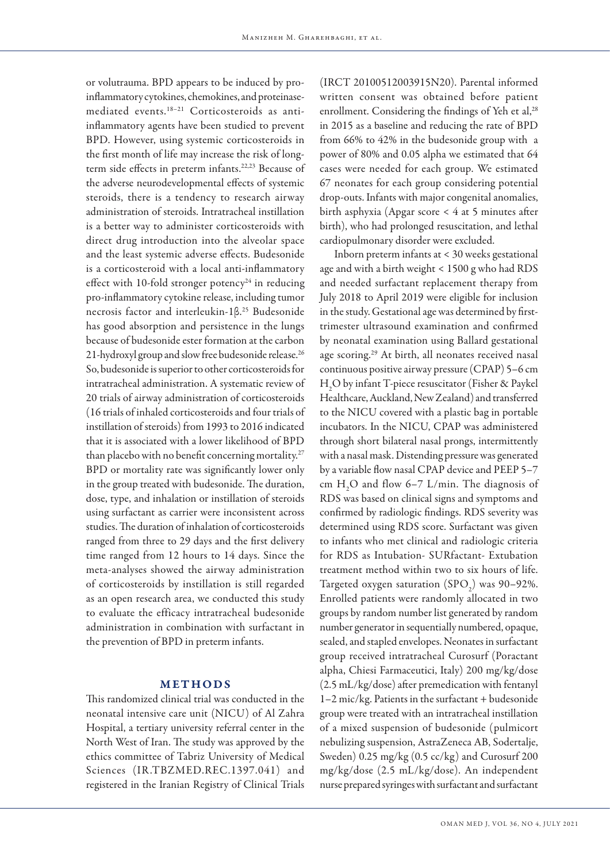or volutrauma. BPD appears to be induced by proinflammatory cytokines, chemokines, and proteinasemediated events.18–21 Corticosteroids as antiinflammatory agents have been studied to prevent BPD. However, using systemic corticosteroids in the first month of life may increase the risk of longterm side effects in preterm infants.<sup>22,23</sup> Because of the adverse neurodevelopmental effects of systemic steroids, there is a tendency to research airway administration of steroids. Intratracheal instillation is a better way to administer corticosteroids with direct drug introduction into the alveolar space and the least systemic adverse effects. Budesonide is a corticosteroid with a local anti-inflammatory effect with 10-fold stronger potency<sup>24</sup> in reducing pro-inflammatory cytokine release, including tumor necrosis factor and interleukin-1β.25 Budesonide has good absorption and persistence in the lungs because of budesonide ester formation at the carbon 21-hydroxyl group and slow free budesonide release.<sup>26</sup> So, budesonide is superior to other corticosteroids for intratracheal administration. A systematic review of 20 trials of airway administration of corticosteroids (16 trials of inhaled corticosteroids and four trials of instillation of steroids) from 1993 to 2016 indicated that it is associated with a lower likelihood of BPD than placebo with no benefit concerning mortality.<sup>27</sup> BPD or mortality rate was significantly lower only in the group treated with budesonide. The duration, dose, type, and inhalation or instillation of steroids using surfactant as carrier were inconsistent across studies. The duration of inhalation of corticosteroids ranged from three to 29 days and the first delivery time ranged from 12 hours to 14 days. Since the meta-analyses showed the airway administration of corticosteroids by instillation is still regarded as an open research area, we conducted this study to evaluate the efficacy intratracheal budesonide administration in combination with surfactant in the prevention of BPD in preterm infants.

### METHODS

This randomized clinical trial was conducted in the neonatal intensive care unit (NICU) of Al Zahra Hospital, a tertiary university referral center in the North West of Iran. The study was approved by the ethics committee of Tabriz University of Medical Sciences (IR.TBZMED.REC.1397.041) and registered in the Iranian Registry of Clinical Trials

(IRCT 20100512003915N20). Parental informed written consent was obtained before patient enrollment. Considering the findings of Yeh et al,<sup>28</sup> in 2015 as a baseline and reducing the rate of BPD from 66% to 42% in the budesonide group with a power of 80% and 0.05 alpha we estimated that 64 cases were needed for each group. We estimated 67 neonates for each group considering potential drop-outs. Infants with major congenital anomalies, birth asphyxia (Apgar score < 4 at 5 minutes after birth), who had prolonged resuscitation, and lethal cardiopulmonary disorder were excluded.

Inborn preterm infants at < 30 weeks gestational age and with a birth weight < 1500 g who had RDS and needed surfactant replacement therapy from July 2018 to April 2019 were eligible for inclusion in the study. Gestational age was determined by firsttrimester ultrasound examination and confirmed by neonatal examination using Ballard gestational age scoring.29 At birth, all neonates received nasal continuous positive airway pressure (CPAP) 5–6 cm H2 O by infant T-piece resuscitator (Fisher & Paykel Healthcare, Auckland, New Zealand) and transferred to the NICU covered with a plastic bag in portable incubators. In the NICU, CPAP was administered through short bilateral nasal prongs, intermittently with a nasal mask. Distending pressure was generated by a variable flow nasal CPAP device and PEEP 5–7 cm  $H_2O$  and flow 6–7 L/min. The diagnosis of RDS was based on clinical signs and symptoms and confirmed by radiologic findings. RDS severity was determined using RDS score. Surfactant was given to infants who met clinical and radiologic criteria for RDS as Intubation- SURfactant- Extubation treatment method within two to six hours of life. Targeted oxygen saturation  $(SPO<sub>2</sub>)$  was 90–92%. Enrolled patients were randomly allocated in two groups by random number list generated by random number generator in sequentially numbered, opaque, sealed, and stapled envelopes. Neonates in surfactant group received intratracheal Curosurf (Poractant alpha, Chiesi Farmaceutici, Italy) 200 mg/kg/dose (2.5 mL/kg/dose) after premedication with fentanyl 1–2 mic/kg. Patients in the surfactant + budesonide group were treated with an intratracheal instillation of a mixed suspension of budesonide (pulmicort nebulizing suspension, AstraZeneca AB, Sodertalje, Sweden) 0.25 mg/kg (0.5 cc/kg) and Curosurf 200 mg/kg/dose (2.5 mL/kg/dose). An independent nurse prepared syringes with surfactant and surfactant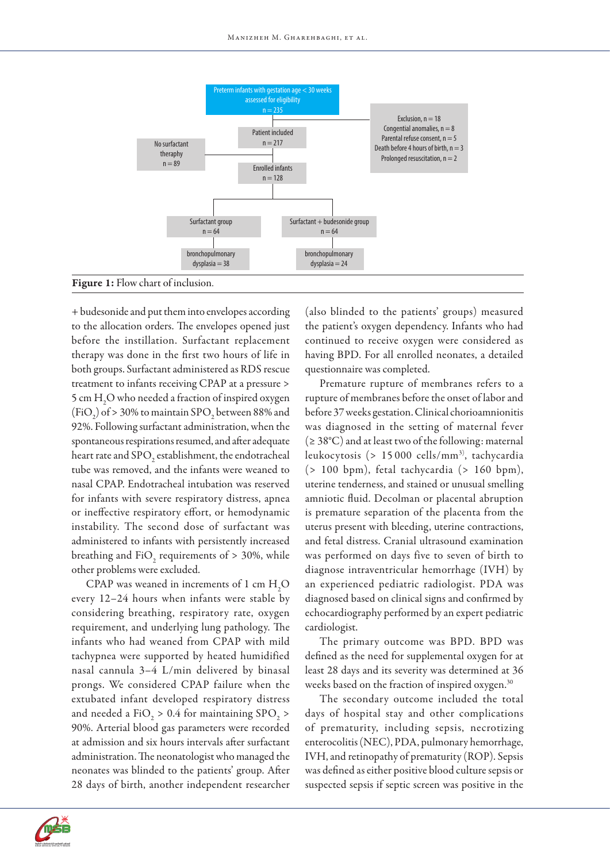

## Figure 1: Flow chart of inclusion.

+ budesonide and put them into envelopes according to the allocation orders. The envelopes opened just before the instillation. Surfactant replacement therapy was done in the first two hours of life in both groups. Surfactant administered as RDS rescue treatment to infants receiving CPAP at a pressure > 5 cm  $\rm H_2O$  who needed a fraction of inspired oxygen  $(FiO<sub>2</sub>)$  of > 30% to maintain SPO<sub>2</sub> between 88% and 92%. Following surfactant administration, when the spontaneous respirations resumed, and after adequate heart rate and SPO<sub>2</sub> establishment, the endotracheal tube was removed, and the infants were weaned to nasal CPAP. Endotracheal intubation was reserved for infants with severe respiratory distress, apnea or ineffective respiratory effort, or hemodynamic instability. The second dose of surfactant was administered to infants with persistently increased breathing and  $\text{FiO}_2$  requirements of > 30%, while other problems were excluded.

CPAP was weaned in increments of 1 cm  $H_2O$ every 12–24 hours when infants were stable by considering breathing, respiratory rate, oxygen requirement, and underlying lung pathology. The infants who had weaned from CPAP with mild tachypnea were supported by heated humidified nasal cannula 3–4 L/min delivered by binasal prongs. We considered CPAP failure when the extubated infant developed respiratory distress and needed a FiO<sub>2</sub> > 0.4 for maintaining SPO<sub>2</sub> > 90%. Arterial blood gas parameters were recorded at admission and six hours intervals after surfactant administration. The neonatologist who managed the neonates was blinded to the patients' group. After 28 days of birth, another independent researcher

(also blinded to the patients' groups) measured the patient's oxygen dependency. Infants who had continued to receive oxygen were considered as having BPD. For all enrolled neonates, a detailed questionnaire was completed.

Premature rupture of membranes refers to a rupture of membranes before the onset of labor and before 37 weeks gestation. Clinical chorioamnionitis was diagnosed in the setting of maternal fever (≥ 38°C) and at least two of the following: maternal leukocytosis (> 15 000 cells/mm<sup>3)</sup>, tachycardia (> 100 bpm), fetal tachycardia (> 160 bpm), uterine tenderness, and stained or unusual smelling amniotic fluid. Decolman or placental abruption is premature separation of the placenta from the uterus present with bleeding, uterine contractions, and fetal distress. Cranial ultrasound examination was performed on days five to seven of birth to diagnose intraventricular hemorrhage (IVH) by an experienced pediatric radiologist. PDA was diagnosed based on clinical signs and confirmed by echocardiography performed by an expert pediatric cardiologist.

The primary outcome was BPD. BPD was defined as the need for supplemental oxygen for at least 28 days and its severity was determined at 36 weeks based on the fraction of inspired oxygen.<sup>30</sup>

The secondary outcome included the total days of hospital stay and other complications of prematurity, including sepsis, necrotizing enterocolitis (NEC), PDA, pulmonary hemorrhage, IVH, and retinopathy of prematurity (ROP). Sepsis was defined as either positive blood culture sepsis or suspected sepsis if septic screen was positive in the

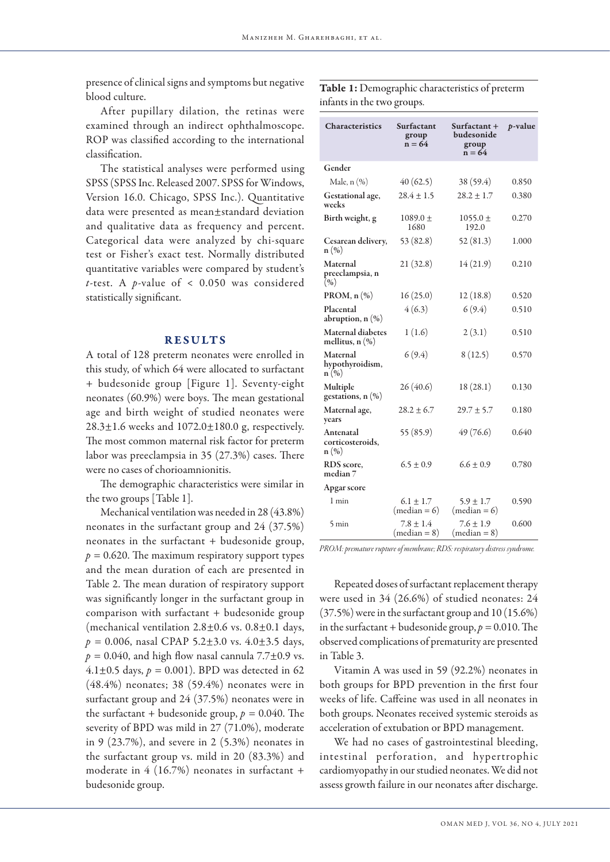presence of clinical signs and symptoms but negative blood culture.

After pupillary dilation, the retinas were examined through an indirect ophthalmoscope. ROP was classified according to the international classification.

The statistical analyses were performed using SPSS (SPSS Inc. Released 2007. SPSS for Windows, Version 16.0. Chicago, SPSS Inc.). Quantitative data were presented as mean±standard deviation and qualitative data as frequency and percent. Categorical data were analyzed by chi-square test or Fisher's exact test. Normally distributed quantitative variables were compared by student's *t*-test. A *p*-value of < 0.050 was considered statistically significant.

#### RESULTS

A total of 128 preterm neonates were enrolled in this study, of which 64 were allocated to surfactant + budesonide group [Figure 1]. Seventy-eight neonates (60.9%) were boys. The mean gestational age and birth weight of studied neonates were 28.3±1.6 weeks and 1072.0±180.0 g, respectively. The most common maternal risk factor for preterm labor was preeclampsia in 35 (27.3%) cases. There were no cases of chorioamnionitis.

The demographic characteristics were similar in the two groups [Table 1].

Mechanical ventilation was needed in 28 (43.8%) neonates in the surfactant group and 24 (37.5%) neonates in the surfactant + budesonide group,  $p = 0.620$ . The maximum respiratory support types and the mean duration of each are presented in Table 2. The mean duration of respiratory support was significantly longer in the surfactant group in comparison with surfactant + budesonide group (mechanical ventilation  $2.8 \pm 0.6$  vs.  $0.8 \pm 0.1$  days, *p =* 0.006, nasal CPAP 5.2±3.0 vs. 4.0±3.5 days,  $p = 0.040$ , and high flow nasal cannula 7.7 $\pm$ 0.9 vs. 4.1 $\pm$ 0.5 days,  $p = 0.001$ ). BPD was detected in 62 (48.4%) neonates; 38 (59.4%) neonates were in surfactant group and 24 (37.5%) neonates were in the surfactant + budesonide group,  $p = 0.040$ . The severity of BPD was mild in 27 (71.0%), moderate in 9 (23.7%), and severe in 2 (5.3%) neonates in the surfactant group vs. mild in 20 (83.3%) and moderate in 4 (16.7%) neonates in surfactant + budesonide group.

Table 1: Demographic characteristics of preterm infants in the two groups.

| <b>Characteristics</b>                              | Surfactant<br>group<br>$n = 64$ | Surfactant +<br>budesonide<br>group<br>$n = 64$ | <i>p</i> -value |
|-----------------------------------------------------|---------------------------------|-------------------------------------------------|-----------------|
| Gender                                              |                                 |                                                 |                 |
| Male, $n$ $(\%)$                                    | 40(62.5)                        | 38 (59.4)                                       | 0.850           |
| Gestational age,<br>weeks                           | $28.4 \pm 1.5$                  | $28.2 + 1.7$                                    | 0.380           |
| Birth weight, g                                     | $1089.0 \pm$<br>1680            | $1055.0 \pm$<br>192.0                           | 0.270           |
| Cesarean delivery,<br>$n\left(\%\right)$            | 53 (82.8)                       | 52(81.3)                                        | 1.000           |
| Maternal<br>preeclampsia, n<br>(96)                 | 21(32.8)                        | 14(21.9)                                        | 0.210           |
| PROM, $n$ $(\%)$                                    | 16(25.0)                        | 12(18.8)                                        | 0.520           |
| Placental<br>abruption, $n$ $(\%)$                  | 4(6.3)                          | 6(9.4)                                          | 0.510           |
| Maternal diabetes<br>mellitus, n (%)                | 1(1.6)                          | 2(3.1)                                          | 0.510           |
| Maternal<br>hypothyroidism,<br>$n\left(\%\right)$   | 6(9.4)                          | 8(12.5)                                         | 0.570           |
| Multiple<br>gestations, $n$ $(\%)$                  | 26(40.6)                        | 18(28.1)                                        | 0.130           |
| Maternal age,<br>years                              | $28.2 \pm 6.7$                  | $29.7 \pm 5.7$                                  | 0.180           |
| Antenatal<br>corticosteroids,<br>$n\left(\%\right)$ | 55 (85.9)                       | 49 (76.6)                                       | 0.640           |
| RDS score,<br>median 7                              | $6.5 \pm 0.9$                   | $6.6 \pm 0.9$                                   | 0.780           |
| Apgar score                                         |                                 |                                                 |                 |
| 1 min                                               | $6.1 \pm 1.7$<br>$(median = 6)$ | $5.9 \pm 1.7$<br>$(median = 6)$                 | 0.590           |
| 5 min                                               | $7.8 \pm 1.4$<br>$(median = 8)$ | $7.6 \pm 1.9$<br>$(median = 8)$                 | 0.600           |

*PROM: premature rupture of membrane; RDS: respiratory distress syndrome.*

Repeated doses of surfactant replacement therapy were used in 34 (26.6%) of studied neonates: 24 (37.5%) were in the surfactant group and 10 (15.6%) in the surfactant + budesonide group,  $p = 0.010$ . The observed complications of prematurity are presented in Table 3.

Vitamin A was used in 59 (92.2%) neonates in both groups for BPD prevention in the first four weeks of life. Caffeine was used in all neonates in both groups. Neonates received systemic steroids as acceleration of extubation or BPD management.

We had no cases of gastrointestinal bleeding, intestinal perforation, and hypertrophic cardiomyopathy in our studied neonates. We did not assess growth failure in our neonates after discharge.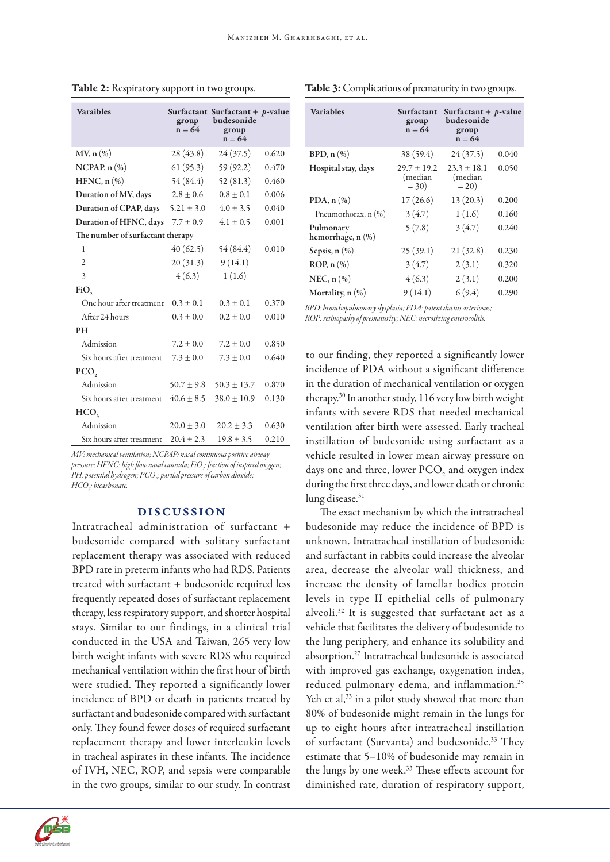| <b>Varaibles</b>                 | group<br>$n = 64$ | Surfactant Surfactant + p-value<br>budesonide<br>group<br>$n = 64$ |       |  |  |
|----------------------------------|-------------------|--------------------------------------------------------------------|-------|--|--|
| $MV$ , n $(\%)$                  | 28(43.8)          | 24(37.5)                                                           | 0.620 |  |  |
| NCPAP, $n$ $(\%)$                | 61(95.3)          | 59 (92.2)                                                          | 0.470 |  |  |
| $HFNC, n(\%)$                    | 54 (84.4)         | 52(81.3)                                                           | 0.460 |  |  |
| Duration of MV, days             | $2.8 + 0.6$       | $0.8 + 0.1$                                                        | 0.006 |  |  |
| Duration of CPAP, days           | $5.21 \pm 3.0$    | $4.0 \pm 3.5$                                                      | 0.040 |  |  |
| Duration of HFNC, days           | $7.7 \pm 0.9$     | $4.1 \pm 0.5$                                                      | 0.001 |  |  |
| The number of surfactant therapy |                   |                                                                    |       |  |  |
| 1                                | 40(62.5)          | 54 (84.4)                                                          | 0.010 |  |  |
| $\overline{2}$                   | 20(31.3)          | 9(14.1)                                                            |       |  |  |
| 3                                | 4(6.3)            | 1(1.6)                                                             |       |  |  |
| FiO,                             |                   |                                                                    |       |  |  |
| One hour after treatment         | $0.3 \pm 0.1$     | $0.3 \pm 0.1$                                                      | 0.370 |  |  |
| After 24 hours                   | $0.3 \pm 0.0$     | $0.2 \pm 0.0$                                                      | 0.010 |  |  |
| <b>PH</b>                        |                   |                                                                    |       |  |  |
| Admission                        | $7.2 \pm 0.0$     | $7.2 \pm 0.0$                                                      | 0.850 |  |  |
| Six hours after treatment        | $7.3 \pm 0.0$     | $7.3 \pm 0.0$                                                      | 0.640 |  |  |
| PCO <sub>2</sub>                 |                   |                                                                    |       |  |  |
| Admission                        | $50.7 \pm 9.8$    | $50.3 \pm 13.7$                                                    | 0.870 |  |  |
| Six hours after treatment        | $40.6 \pm 8.5$    | $38.0 \pm 10.9$                                                    | 0.130 |  |  |
| HCO <sub>3</sub>                 |                   |                                                                    |       |  |  |
| Admission                        | $20.0 \pm 3.0$    | $20.2 \pm 3.3$                                                     | 0.630 |  |  |
| Six hours after treatment        | $20.4 \pm 2.3$    | $19.8 \pm 3.5$                                                     | 0.210 |  |  |

Table 2: Respiratory support in two groups.

Table 3: Complications of prematurity in two groups.

| <b>Variables</b>               | Surfactant<br>group<br>$n = 64$       | Surfactant + $p$ -value<br>budesonide<br>group<br>$n = 64$ |       |
|--------------------------------|---------------------------------------|------------------------------------------------------------|-------|
| BPD, $n$ $(\%)$                | 38(59.4)                              | 24(37.5)                                                   | 0.040 |
| Hospital stay, days            | $29.7 \pm 19.2$<br>(median<br>$= 30)$ | $23.3 \pm 18.1$<br>(median<br>$= 20$                       | 0.050 |
| PDA, $n$ $(\%)$                | 17(26.6)                              | 13(20.3)                                                   | 0.200 |
| Pneumothorax, n (%)            | 3(4.7)                                | 1(1.6)                                                     | 0.160 |
| Pulmonary<br>hemorrhage, n (%) | 5(7.8)                                | 3(4.7)                                                     | 0.240 |
| Sepsis, $n$ $(\%)$             | 25(39.1)                              | 21(32.8)                                                   | 0.230 |
| ROP, n (%)                     | 3(4.7)                                | 2(3.1)                                                     | 0.320 |
| NEC, $n$ $(\%)$                | 4(6.3)                                | 2(3.1)                                                     | 0.200 |
| Mortality, $n$ $(\%)$          | 9(14.1)                               | 6(9.4)                                                     | 0.290 |

*BPD: bronchopulmonary dysplasia; PDA: patent ductus arteriosus; ROP: retinopathy of prematurity; NEC: necrotizing enterocolitis.*

to our finding, they reported a significantly lower incidence of PDA without a significant difference in the duration of mechanical ventilation or oxygen therapy.30 In another study, 116 very low birth weight infants with severe RDS that needed mechanical ventilation after birth were assessed. Early tracheal instillation of budesonide using surfactant as a vehicle resulted in lower mean airway pressure on days one and three, lower  $\text{PCO}_2$  and oxygen index during the first three days, and lower death or chronic lung disease.<sup>31</sup>

The exact mechanism by which the intratracheal budesonide may reduce the incidence of BPD is unknown. Intratracheal instillation of budesonide and surfactant in rabbits could increase the alveolar area, decrease the alveolar wall thickness, and increase the density of lamellar bodies protein levels in type II epithelial cells of pulmonary alveoli.32 It is suggested that surfactant act as a vehicle that facilitates the delivery of budesonide to the lung periphery, and enhance its solubility and absorption.27 Intratracheal budesonide is associated with improved gas exchange, oxygenation index, reduced pulmonary edema, and inflammation.25 Yeh et al,<sup>33</sup> in a pilot study showed that more than 80% of budesonide might remain in the lungs for up to eight hours after intratracheal instillation of surfactant (Survanta) and budesonide.33 They estimate that 5–10% of budesonide may remain in the lungs by one week.<sup>33</sup> These effects account for diminished rate, duration of respiratory support,

*MV: mechanical ventilation; NCPAP: nasal continuous positive airway pressure; HFNC: high flow nasal cannula; FiO2 : fraction of inspired oxygen; PH: potential hydrogen; PCO2 : partial pressure of carbon dioxide; HCO3 : bicarbonate.*

# DISCUSSION

Intratracheal administration of surfactant + budesonide compared with solitary surfactant replacement therapy was associated with reduced BPD rate in preterm infants who had RDS. Patients treated with surfactant + budesonide required less frequently repeated doses of surfactant replacement therapy, less respiratory support, and shorter hospital stays. Similar to our findings, in a clinical trial conducted in the USA and Taiwan, 265 very low birth weight infants with severe RDS who required mechanical ventilation within the first hour of birth were studied. They reported a significantly lower incidence of BPD or death in patients treated by surfactant and budesonide compared with surfactant only. They found fewer doses of required surfactant replacement therapy and lower interleukin levels in tracheal aspirates in these infants. The incidence of IVH, NEC, ROP, and sepsis were comparable in the two groups, similar to our study. In contrast

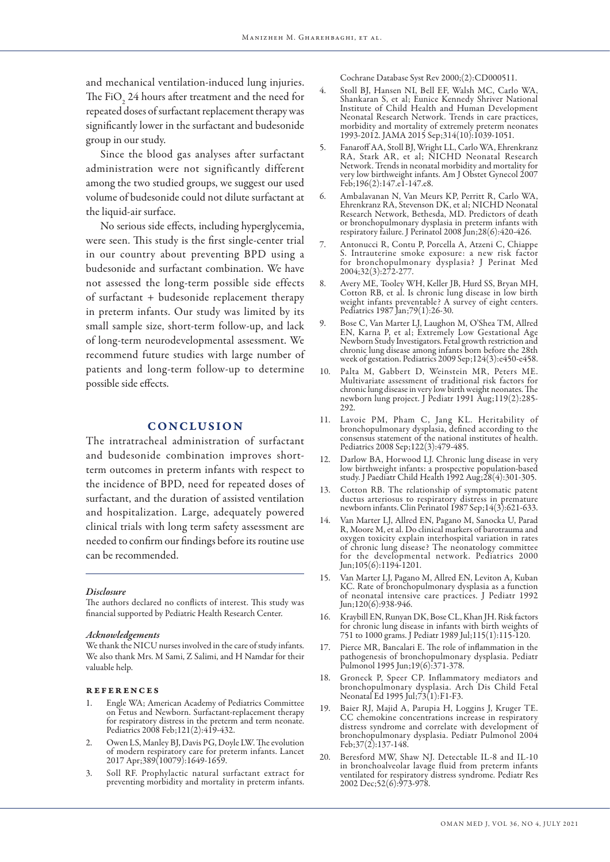and mechanical ventilation-induced lung injuries. The FiO<sub>2</sub> 24 hours after treatment and the need for repeated doses of surfactant replacement therapy was significantly lower in the surfactant and budesonide group in our study.

Since the blood gas analyses after surfactant administration were not significantly different among the two studied groups, we suggest our used volume of budesonide could not dilute surfactant at the liquid-air surface.

No serious side effects, including hyperglycemia, were seen. This study is the first single-center trial in our country about preventing BPD using a budesonide and surfactant combination. We have not assessed the long-term possible side effects of surfactant + budesonide replacement therapy in preterm infants. Our study was limited by its small sample size, short-term follow-up, and lack of long-term neurodevelopmental assessment. We recommend future studies with large number of patients and long-term follow-up to determine possible side effects.

## **CONCLUSION**

The intratracheal administration of surfactant and budesonide combination improves shortterm outcomes in preterm infants with respect to the incidence of BPD, need for repeated doses of surfactant, and the duration of assisted ventilation and hospitalization. Large, adequately powered clinical trials with long term safety assessment are needed to confirm our findings before its routine use can be recommended.

#### *Disclosure*

The authors declared no conflicts of interest. This study was financial supported by Pediatric Health Research Center.

#### *Acknowledgements*

We thank the NICU nurses involved in the care of study infants. We also thank Mrs. M Sami, Z Salimi, and H Namdar for their valuable help.

#### references

- 1. Engle WA; American Academy of Pediatrics Committee on Fetus and Newborn. Surfactant-replacement therapy for respiratory distress in the preterm and term neonate. Pediatrics 2008 Feb; 121(2): 419-432.
- 2. Owen LS, Manley BJ, Davis PG, Doyle LW. The evolution of modern respiratory care for preterm infants. Lancet 2017 Apr;389(10079):1649-1659.
- 3. Soll RF. Prophylactic natural surfactant extract for preventing morbidity and mortality in preterm infants.

Cochrane Database Syst Rev 2000;(2):CD000511.

- 4. Stoll BJ, Hansen NI, Bell EF, Walsh MC, Carlo WA, Shankaran S, et al; Eunice Kennedy Shriver National Institute of Child Health and Human Development Neonatal Research Network. Trends in care practices, morbidity and mortality of extremely preterm neonates 1993-2012. JAMA 2015 Sep;314(10):1039-1051.
- 5. Fanaroff AA, Stoll BJ, Wright LL, Carlo WA, Ehrenkranz RA, Stark AR, et al; NICHD Neonatal Research Network. Trends in neonatal morbidity and mortality for very low birthweight infants. Am J Obstet Gynecol 2007 Feb;196(2):147.e1-147.e8.
- 6. Ambalavanan N, Van Meurs KP, Perritt R, Carlo WA, Ehrenkranz RA, Stevenson DK, et al; NICHD Neonatal Research Network, Bethesda, MD. Predictors of death or bronchopulmonary dysplasia in preterm infants with respiratory failure. J Perinatol 2008 Jun;28(6):420-426.
- 7. Antonucci R, Contu P, Porcella A, Atzeni C, Chiappe S. Intrauterine smoke exposure: a new risk factor for bronchopulmonary dysplasia? J Perinat Med 2004;32(3):272-277.
- 8. Avery ME, Tooley WH, Keller JB, Hurd SS, Bryan MH, Cotton RB, et al. Is chronic lung disease in low birth weight infants preventable? A survey of eight centers. Pediatrics 1987 Jan;79(1):26-30.
- 9. Bose C, Van Marter LJ, Laughon M, O'Shea TM, Allred EN, Karna P, et al; Extremely Low Gestational Age Newborn Study Investigators. Fetal growth restriction and chronic lung disease among infants born before the 28th week of gestation. Pediatrics 2009 Sep;124(3):e450-e458.
- 10. Palta M, Gabbert D, Weinstein MR, Peters ME. Multivariate assessment of traditional risk factors for chronic lung disease in very low birth weight neonates. The newborn lung project. J Pediatr 1991 Aug;119(2):285-292.
- 11. Lavoie PM, Pham C, Jang KL. Heritability of bronchopulmonary dysplasia, defined according to the consensus statement of the national institutes of health. Pediatrics 2008 Sep;122(3):479-485.
- 12. Darlow BA, Horwood LJ. Chronic lung disease in very low birthweight infants: a prospective population-based study. J Paediatr Child Health 1992 Aug;28(4):301-305.
- 13. Cotton RB. The relationship of symptomatic patent ductus arteriosus to respiratory distress in premature newborn infants. Clin Perinatol 1987 Sep;14(3):621-633.
- 14. Van Marter LJ, Allred EN, Pagano M, Sanocka U, Parad R, Moore M, et al. Do clinical markers of barotrauma and oxygen toxicity explain interhospital variation in rates of chronic lung disease? The neonatology committee for the developmental network. Pediatrics 2000 Jun;105(6):1194-1201.
- 15. Van Marter LJ, Pagano M, Allred EN, Leviton A, Kuban KC. Rate of bronchopulmonary dysplasia as a function of neonatal intensive care practices. J Pediatr 1992 Jun;120(6):938-946.
- 16. Kraybill EN, Runyan DK, Bose CL, Khan JH. Risk factors for chronic lung disease in infants with birth weights of 751 to 1000 grams. J Pediatr 1989 Jul;115(1):115-120.
- 17. Pierce MR, Bancalari E. The role of inflammation in the pathogenesis of bronchopulmonary dysplasia. Pediatr Pulmonol 1995 Jun;19(6):371-378.
- 18. Groneck P, Speer CP. Inflammatory mediators and bronchopulmonary dysplasia. Arch Dis Child Fetal Neonatal Ed 1995 Jul;73(1):F1-F3.
- 19. Baier RJ, Majid A, Parupia H, Loggins J, Kruger TE. CC chemokine concentrations increase in respiratory distress syndrome and correlate with development of bronchopulmonary dysplasia. Pediatr Pulmonol 2004 Feb;37(2):137-148.
- 20. Beresford MW, Shaw NJ. Detectable IL-8 and IL-10 in bronchoalveolar lavage fluid from preterm infants ventilated for respiratory distress syndrome. Pediatr Res 2002 Dec;52(6):973-978.